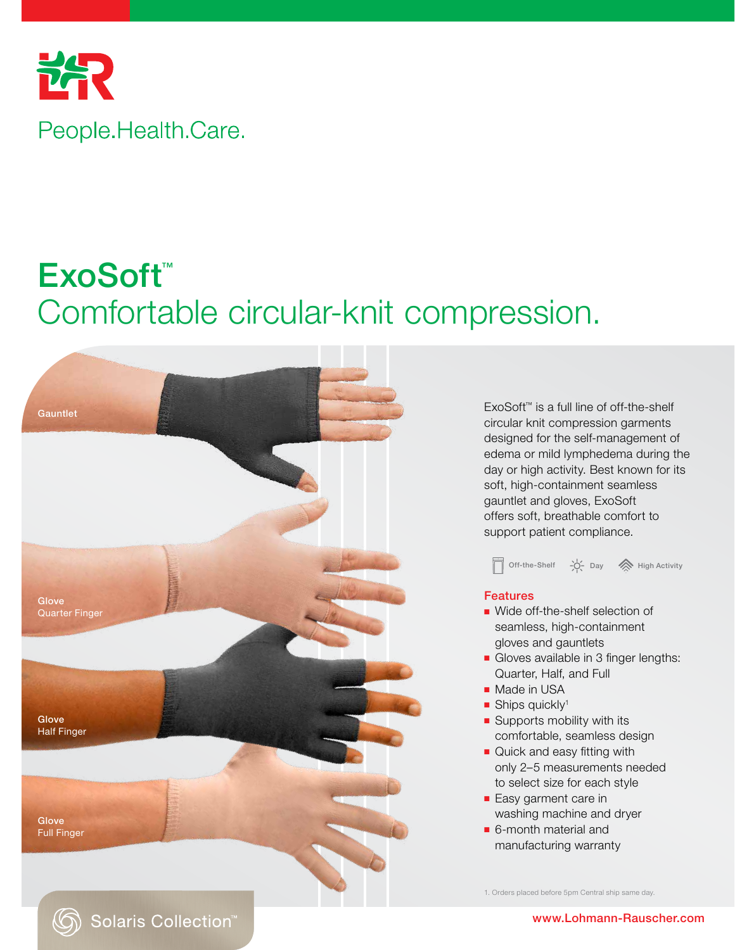

# ExoSoft™ Comfortable circular-knit compression.



ExoSoft™ is a full line of off-the-shelf circular knit compression garments designed for the self-management of edema or mild lymphedema during the day or high activity. Best known for its soft, high-containment seamless gauntlet and gloves, ExoSoft offers soft, breathable comfort to support patient compliance.



#### Features

- Wide off-the-shelf selection of seamless, high-containment gloves and gauntlets
- Gloves available in 3 finger lengths: Quarter, Half, and Full
- Made in USA
- Ships quickly<sup>1</sup>
- Supports mobility with its comfortable, seamless design
- Quick and easy fitting with only 2–5 measurements needed to select size for each style
- Easy garment care in washing machine and dryer
- 6-month material and manufacturing warranty

1. Orders placed before 5pm Central ship same day.